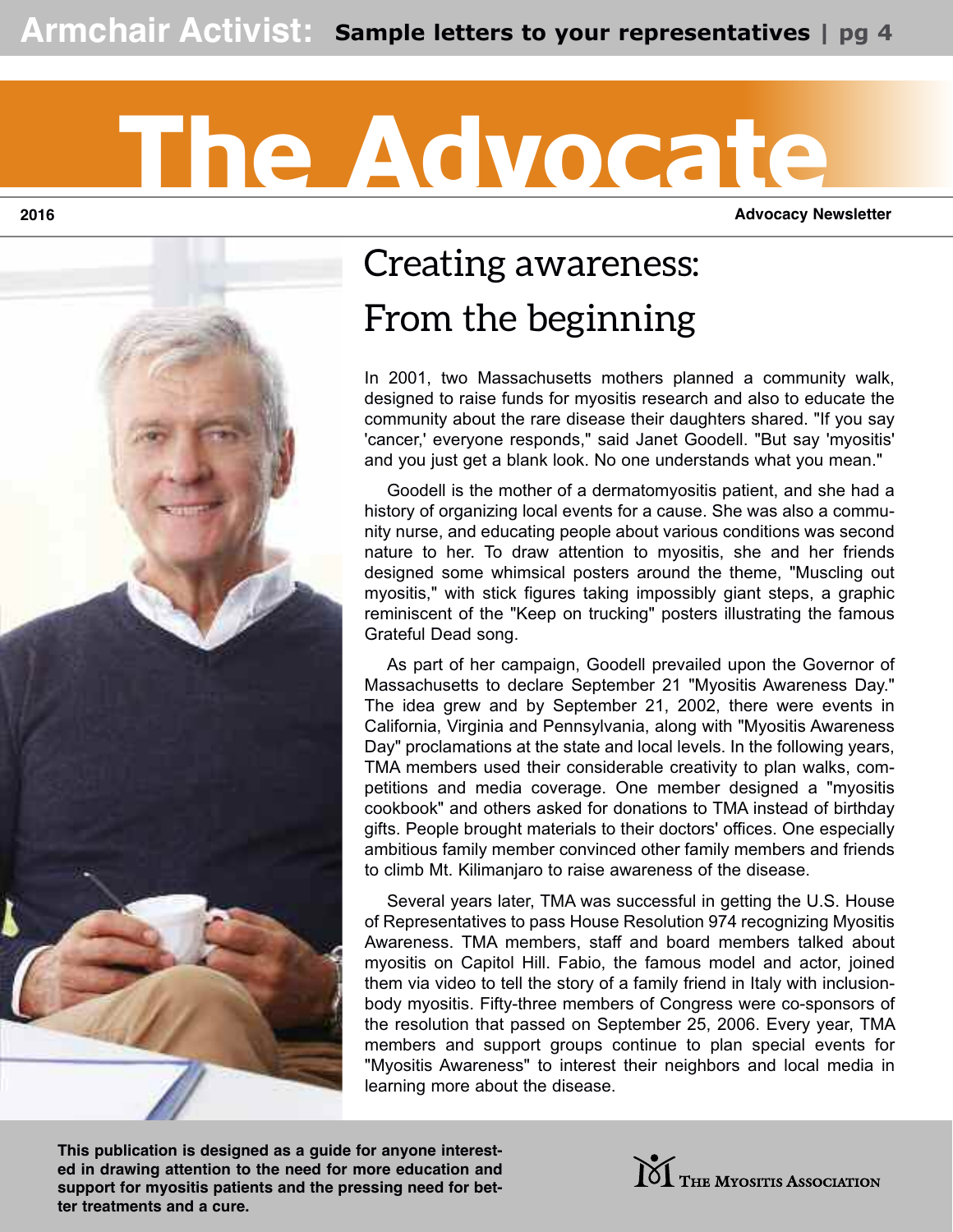# The Advocate

**2016 Advocacy Newsletter**



## **Creating awareness: From the beginning**

In 2001, two Massachusetts mothers planned a community walk, designed to raise funds for myositis research and also to educate the community about the rare disease their daughters shared. "If you say 'cancer,' everyone responds," said Janet Goodell. "But say 'myositis' and you just get a blank look. No one understands what you mean."

 Goodell is the mother of a dermatomyositis patient, and she had a history of organizing local events for a cause. She was also a community nurse, and educating people about various conditions was second nature to her. To draw attention to myositis, she and her friends designed some whimsical posters around the theme, "Muscling out myositis," with stick figures taking impossibly giant steps, a graphic reminiscent of the "Keep on trucking" posters illustrating the famous Grateful Dead song.

 As part of her campaign, Goodell prevailed upon the Governor of Massachusetts to declare September 21 "Myositis Awareness Day." The idea grew and by September 21, 2002, there were events in California, Virginia and Pennsylvania, along with "Myositis Awareness Day" proclamations at the state and local levels. In the following years, TMA members used their considerable creativity to plan walks, competitions and media coverage. One member designed a "myositis cookbook" and others asked for donations to TMA instead of birthday gifts. People brought materials to their doctors' offices. One especially ambitious family member convinced other family members and friends to climb Mt. Kilimanjaro to raise awareness of the disease.

 Several years later, TMA was successful in getting the U.S. House of Representatives to pass House Resolution 974 recognizing Myositis Awareness. TMA members, staff and board members talked about myositis on Capitol Hill. Fabio, the famous model and actor, joined them via video to tell the story of a family friend in Italy with inclusionbody myositis. Fifty-three members of Congress were co-sponsors of the resolution that passed on September 25, 2006. Every year, TMA members and support groups continue to plan special events for "Myositis Awareness" to interest their neighbors and local media in learning more about the disease.

**This publication is designed as a guide for anyone interested in drawing attention to the need for more education and support for myositis patients and the pressing need for better treatments and a cure.**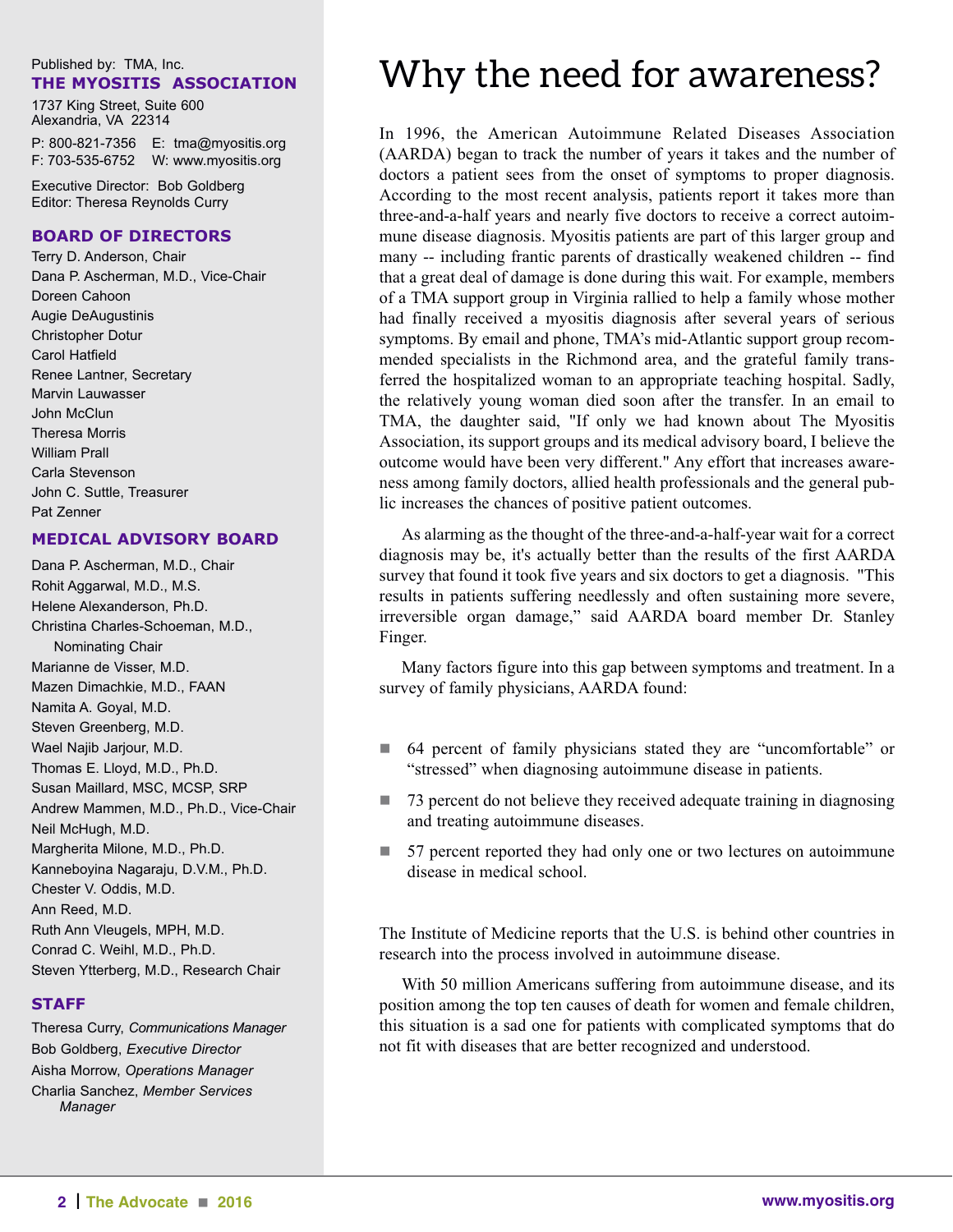#### Published by: TMA, Inc. **The MyoSiTiS ASSociATion**

1737 King Street, Suite 600 Alexandria, VA 22314 P: 800-821-7356 E: tma@myositis.org

F: 703-535-6752 W: www.myositis.org

Executive Director: Bob Goldberg Editor: Theresa Reynolds Curry

#### **BoArd of direcTorS**

Terry D. Anderson, Chair Dana P. Ascherman, M.D., Vice-Chair Doreen Cahoon Augie DeAugustinis Christopher Dotur Carol Hatfield Renee Lantner, Secretary Marvin Lauwasser John McClun Theresa Morris William Prall Carla Stevenson John C. Suttle, Treasurer Pat Zenner

#### **MedicAl AdviSory BoArd**

Dana P. Ascherman, M.D., Chair Rohit Aggarwal, M.D., M.S. Helene Alexanderson, Ph.D. Christina Charles-Schoeman, M.D., Nominating Chair Marianne de Visser, M.D. Mazen Dimachkie, M.D., FAAN Namita A. Goyal, M.D. Steven Greenberg, M.D. Wael Najib Jarjour, M.D. Thomas E. Lloyd, M.D., Ph.D. Susan Maillard, MSC, MCSP, SRP Andrew Mammen, M.D., Ph.D., Vice-Chair Neil McHugh, M.D. Margherita Milone, M.D., Ph.D. Kanneboyina Nagaraju, D.V.M., Ph.D. Chester V. Oddis, M.D. Ann Reed, M.D. Ruth Ann Vleugels, MPH, M.D. Conrad C. Weihl, M.D., Ph.D. Steven Ytterberg, M.D., Research Chair

### **STAff**

Theresa Curry, *Communications Manager* Bob Goldberg, *Executive Director* Aisha Morrow, *Operations Manager* Charlia Sanchez, *Member Services Manager*

### **Why the need for awareness?**

In 1996, the American Autoimmune Related Diseases Association (AARDA) began to track the number of years it takes and the number of doctors a patient sees from the onset of symptoms to proper diagnosis. According to the most recent analysis, patients report it takes more than three-and-a-half years and nearly five doctors to receive a correct autoimmune disease diagnosis. Myositis patients are part of this larger group and many -- including frantic parents of drastically weakened children -- find that a great deal of damage is done during this wait. For example, members of a TMA support group in Virginia rallied to help a family whose mother had finally received a myositis diagnosis after several years of serious symptoms. By email and phone, TMA's mid-Atlantic support group recommended specialists in the Richmond area, and the grateful family transferred the hospitalized woman to an appropriate teaching hospital. Sadly, the relatively young woman died soon after the transfer. In an email to TMA, the daughter said, "If only we had known about The Myositis Association, its support groups and its medical advisory board, I believe the outcome would have been very different." Any effort that increases awareness among family doctors, allied health professionals and the general public increases the chances of positive patient outcomes.

 As alarming as the thought of the three-and-a-half-year wait for a correct diagnosis may be, it's actually better than the results of the first AARDA survey that found it took five years and six doctors to get a diagnosis. "This results in patients suffering needlessly and often sustaining more severe, irreversible organ damage," said AARDA board member Dr. Stanley Finger.

 Many factors figure into this gap between symptoms and treatment. In a survey of family physicians, AARDA found:

- 64 percent of family physicians stated they are "uncomfortable" or "stressed" when diagnosing autoimmune disease in patients.
- $\Box$  73 percent do not believe they received adequate training in diagnosing and treating autoimmune diseases.
- 57 percent reported they had only one or two lectures on autoimmune disease in medical school.

The Institute of Medicine reports that the U.S. is behind other countries in research into the process involved in autoimmune disease.

 With 50 million Americans suffering from autoimmune disease, and its position among the top ten causes of death for women and female children, this situation is a sad one for patients with complicated symptoms that do not fit with diseases that are better recognized and understood.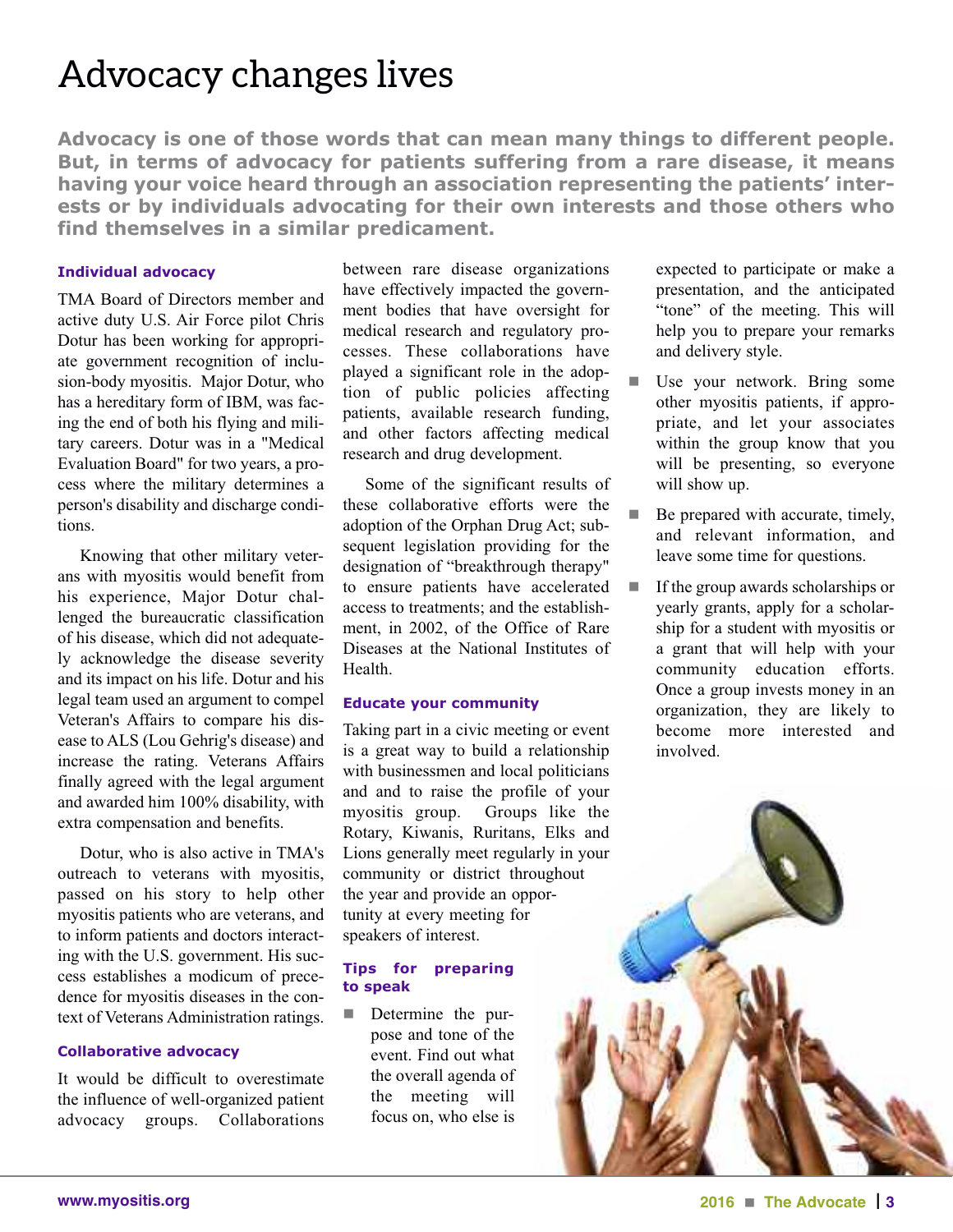### **Advocacy changes lives**

**Advocacy is one of those words that can mean many things to different people. But, in terms of advocacy for patients suffering from a rare disease, it means having your voice heard through an association representing the patients' interests or by individuals advocating for their own interests and those others who find themselves in a similar predicament.**

#### **individual advocacy**

TMA Board of Directors member and active duty U.S. Air Force pilot Chris Dotur has been working for appropriate government recognition of inclusion-body myositis. Major Dotur, who has a hereditary form of IBM, was facing the end of both his flying and military careers. Dotur was in a "Medical Evaluation Board" for two years, a process where the military determines a person's disability and discharge conditions.

 Knowing that other military veterans with myositis would benefit from his experience, Major Dotur challenged the bureaucratic classification of his disease, which did not adequately acknowledge the disease severity and its impact on his life. Dotur and his legal team used an argument to compel Veteran's Affairs to compare his disease to ALS (Lou Gehrig's disease) and increase the rating. Veterans Affairs finally agreed with the legal argument and awarded him 100% disability, with extra compensation and benefits.

 Dotur, who is also active in TMA's outreach to veterans with myositis, passed on his story to help other myositis patients who are veterans, and to inform patients and doctors interacting with the U.S. government. His success establishes a modicum of precedence for myositis diseases in the context of Veterans Administration ratings.

#### **collaborative advocacy**

It would be difficult to overestimate the influence of well-organized patient advocacy groups. Collaborations

between rare disease organizations have effectively impacted the government bodies that have oversight for medical research and regulatory processes. These collaborations have played a significant role in the adoption of public policies affecting patients, available research funding, and other factors affecting medical research and drug development.

 Some of the significant results of these collaborative efforts were the adoption of the Orphan Drug Act; subsequent legislation providing for the designation of "breakthrough therapy" to ensure patients have accelerated access to treatments; and the establishment, in 2002, of the Office of Rare Diseases at the National Institutes of Health.

#### **educate your community**

Taking part in a civic meeting or event is a great way to build a relationship with businessmen and local politicians and and to raise the profile of your myositis group. Groups like the Rotary, Kiwanis, Ruritans, Elks and Lions generally meet regularly in your community or district throughout the year and provide an opportunity at every meeting for speakers of interest.

#### **Tips for preparing to speak**

**n** Determine the purpose and tone of the event. Find out what the overall agenda of the meeting will focus on, who else is

expected to participate or make a presentation, and the anticipated "tone" of the meeting. This will help you to prepare your remarks and delivery style.

- Use your network. Bring some other myositis patients, if appropriate, and let your associates within the group know that you will be presenting, so everyone will show up.
- Be prepared with accurate, timely, and relevant information, and leave some time for questions.
- $\blacksquare$  If the group awards scholarships or yearly grants, apply for a scholarship for a student with myositis or a grant that will help with your community education efforts. Once a group invests money in an organization, they are likely to become more interested and involved.

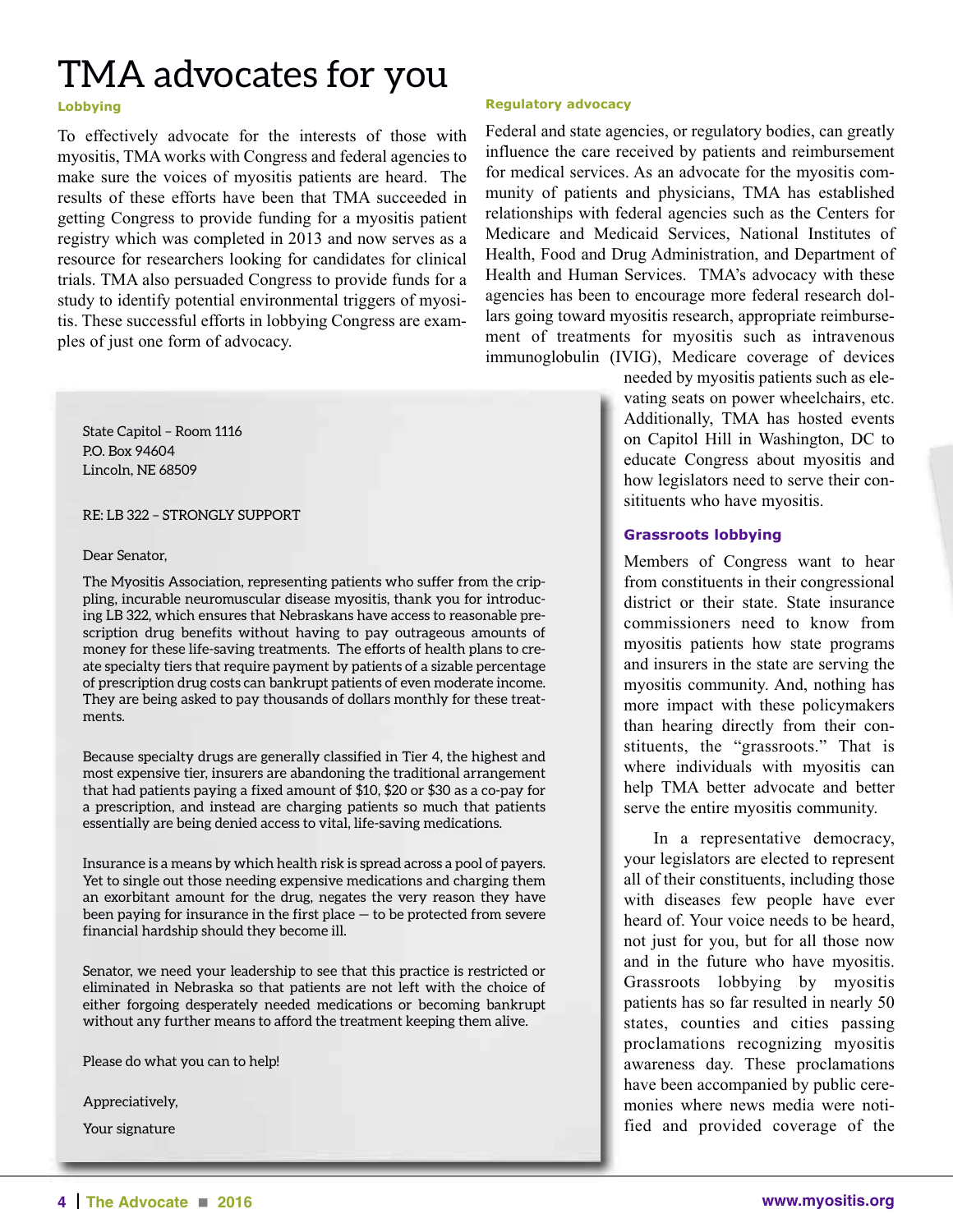### **TMA advocates for you**

#### **lobbying**

To effectively advocate for the interests of those with myositis, TMA works with Congress and federal agencies to make sure the voices of myositis patients are heard. The results of these efforts have been that TMA succeeded in getting Congress to provide funding for a myositis patient registry which was completed in 2013 and now serves as a resource for researchers looking for candidates for clinical trials. TMA also persuaded Congress to provide funds for a study to identify potential environmental triggers of myositis. These successful efforts in lobbying Congress are examples of just one form of advocacy.

**State Capitol – Room 1116 P.O. Box 94604 Lincoln, NE 68509**

**RE: LB 322 – STRONGLY SUPPORT**

#### **Dear Senator,**

**The Myositis Association, representing patients who suffer from the crippling, incurable neuromuscular disease myositis, thank you for introducing LB 322, which ensures that Nebraskans have access to reasonable prescription drug benefits without having to pay outrageous amounts of money for these life-saving treatments. The efforts of health plans to create specialty tiers that require payment by patients of a sizable percentage of prescription drug costs can bankrupt patients of even moderate income. They are being asked to pay thousands of dollars monthly for these treatments.**

**Because specialty drugs are generally classified in Tier 4, the highest and most expensive tier, insurers are abandoning the traditional arrangement that had patients paying a fixed amount of \$10, \$20 or \$30 as a co-pay for a prescription, and instead are charging patients so much that patients essentially are being denied access to vital, life-saving medications.**

**Insurance is a means by which health risk is spread across a pool of payers. Yet to single out those needing expensive medications and charging them an exorbitant amount for the drug, negates the very reason they have been paying for insurance in the first place — to be protected from severe financial hardship should they become ill.**

**Senator, we need your leadership to see that this practice is restricted or eliminated in Nebraska so that patients are not left with the choice of either forgoing desperately needed medications or becoming bankrupt without any further means to afford the treatment keeping them alive.**

**Please do what you can to help!**

**Appreciatively,**

**Your signature**

#### **regulatory advocacy**

Federal and state agencies, or regulatory bodies, can greatly influence the care received by patients and reimbursement for medical services. As an advocate for the myositis community of patients and physicians, TMA has established relationships with federal agencies such as the Centers for Medicare and Medicaid Services, National Institutes of Health, Food and Drug Administration, and Department of Health and Human Services. TMA's advocacy with these agencies has been to encourage more federal research dollars going toward myositis research, appropriate reimbursement of treatments for myositis such as intravenous immunoglobulin (IVIG), Medicare coverage of devices

needed by myositis patients such as elevating seats on power wheelchairs, etc. Additionally, TMA has hosted events on Capitol Hill in Washington, DC to educate Congress about myositis and how legislators need to serve their consitituents who have myositis.

#### **Grassroots lobbying**

Members of Congress want to hear from constituents in their congressional district or their state. State insurance commissioners need to know from myositis patients how state programs and insurers in the state are serving the myositis community. And, nothing has more impact with these policymakers than hearing directly from their constituents, the "grassroots." That is where individuals with myositis can help TMA better advocate and better serve the entire myositis community.

In a representative democracy, your legislators are elected to represent all of their constituents, including those with diseases few people have ever heard of. Your voice needs to be heard, not just for you, but for all those now and in the future who have myositis. Grassroots lobbying by myositis patients has so far resulted in nearly 50 states, counties and cities passing proclamations recognizing myositis awareness day. These proclamations have been accompanied by public ceremonies where news media were notified and provided coverage of the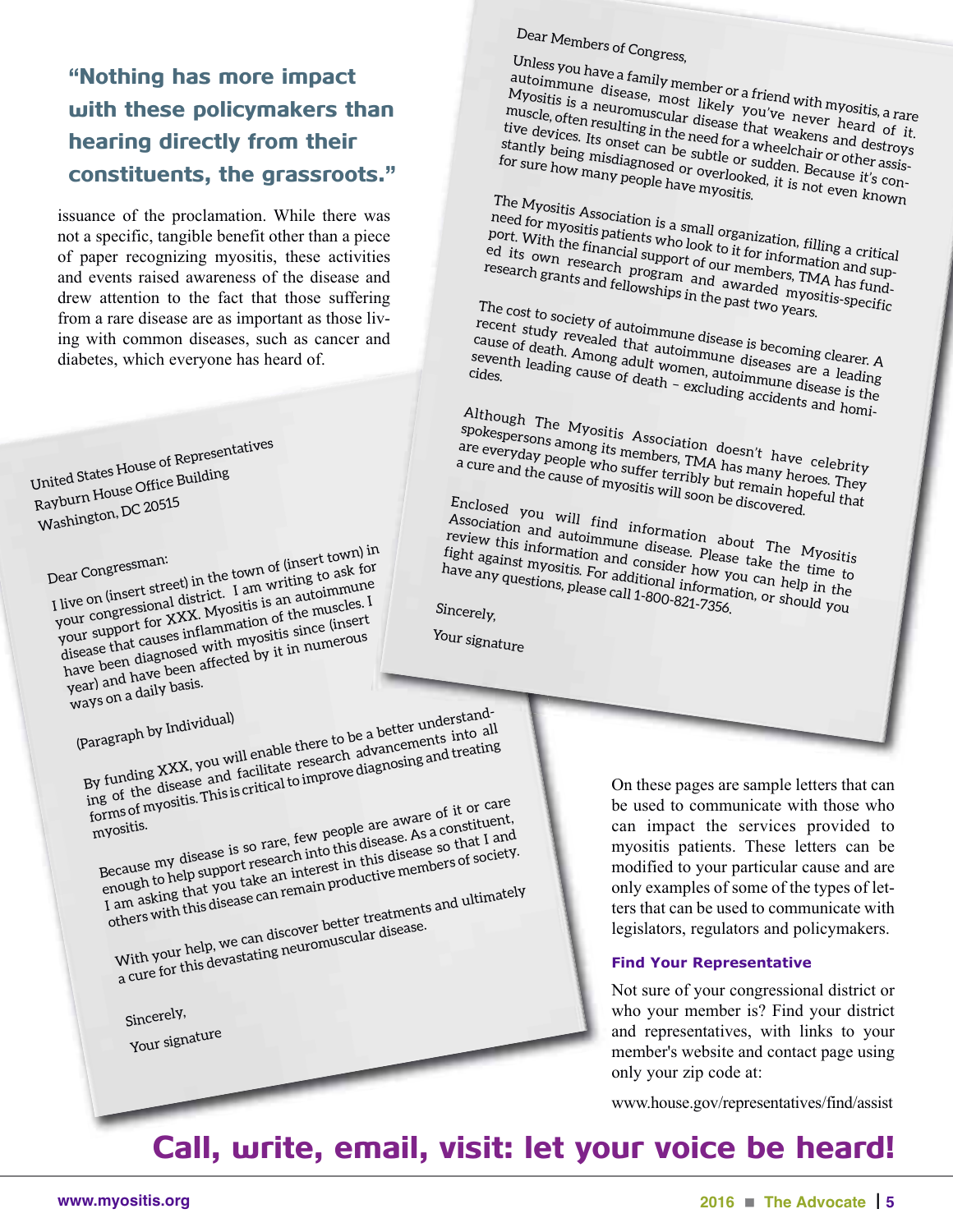### "Nothing has more impact with these policymakers than hearing directly from their constituents, the grassroots."

issuance of the proclamation. While there was not a specific, tangible benefit other than a piece of paper recognizing myositis, these activities and events raised awareness of the disease and drew attention to the fact that those suffering from a rare disease are as important as those living with common diseases, such as cancer and diabetes, which everyone has heard of.

**United States House of Representatives Rayburn House Office Building Washington, DC <sup>20515</sup>**

**Dear Congressman: I live on (insert street) in the town of (insert town) in your congressional district. <sup>I</sup> am writing to ask for your support for XXX. Myositis is an autoimmune disease that causes inflammation of the muscles. <sup>I</sup> have been diagnosed with myositis since (insert year) and have been affected by it in numerous ways on <sup>a</sup> daily basis.**

**(Paragraph by Individual) By funding XXX, you will enable there to be <sup>a</sup> better understanding** of the disease and facilitate research advancements into all into the disease and facilitate research advancements into  $\frac{1}{2}$ **forms of myositis. This is critical to improve diagnosing and treating myositis. Because my disease is so rare, few people are aware of it or care example 14 UP and to help** support  $\frac{1}{2}$  **c h**  $\frac{1}{2}$  **c c c disease**. As a constituent, enough to help support research into this disease. As a constituent, **I EXECUTE: I As a conserved is so that i** and **p i a i a i c i i i i i c i i c i c i c i c i c i c i c i c i c i c i c i c i c i c others with this disease can remain productive members of society. With your help, we can discover better treatments and ultimately a cure for** this devastating neuromuscular disease.

**Sincerely,**

**Your signature**

### **Dear Members of Congress,**

**U nless you have <sup>a</sup> family member or <sup>a</sup> friend with myositis, <sup>a</sup> rare autoimmune disease, most likely you've never heard of it. Myositis** is a neuromuscular disease that weakens and destroys tive devices. Its onset can be subtle or sudden or other assisting that we have misdiagnosed or overlooked, it is not even known **muscle, often resulting in the need for <sup>a</sup> wheelchair or other assistive devices. Its onset can be subtle or sudden. Because it's con**stantly being misdiagnosed or subtle or subelchair or other assis<br>for sure how many people have myositis.<br>The M<sub>1</sub>, it is not even known

**T he Myositis Association is <sup>a</sup> small organization, filling <sup>a</sup> critical need for myositis patients who look to it for information and sup-<br>port. With the financial support of our members, TMA has fund-<br>research grants and fellowships in the past two vears. port. With the financial support of our members, TMA has fund**ed its own research program and awarded myositis-specific<br>research grants and fellowships in the past two years.<br>The cost to social contract the past two years.

**The cost to society of autoimmune disease is becoming clearer. <sup>A</sup> recent** study revealed that autoimmune disease is becoming clearer. A<br>cause of death. Among adult women, autoimmune diseases are a leading<br>seventh leading cause of death - evaluationmune diseases are a leading **cause of death. Among adult women, autoimmune disease is the excluding accidents and homicides.**

**Although The Myositis Association doesn't have celebrity spokespersons among its members, TMA has many heroes. They** are everyday people who suffer terribly but ranny heroes. They<br>a cure and the cause of myositis will soon be discovered.<br>Finclosed vour with the same will soon be discovered.

**Enclosed you will find information about The Myositis** Association and autoimmune disease. Please take the Myositis<br>
review this information and consider how you can be time<br>
dight against myositis. For additional theory you can be time to **review this information and consider about The Myositian's information and consider how you can the time to average any questions, please call 1-formation and <b>consider** how you can help in the Fight against myositic and consider how you can help in the impactually provided in the same take the time to that the same data any questions, please call 1-800-821-7356. **h**

Sincerely,

**Your signature**

On these pages are sample letters that can be used to communicate with those who can impact the services provided to myositis patients. These letters can be modified to your particular cause and are only examples of some of the types of letters that can be used to communicate with legislators, regulators and policymakers.

#### **find Your Representative**

Not sure of your congressional district or who your member is? Find your district and representatives, with links to your member's website and contact page using only your zip code at:

www.house.gov/representatives/find/assist

### Call, write, email, visit: let your voice be heard!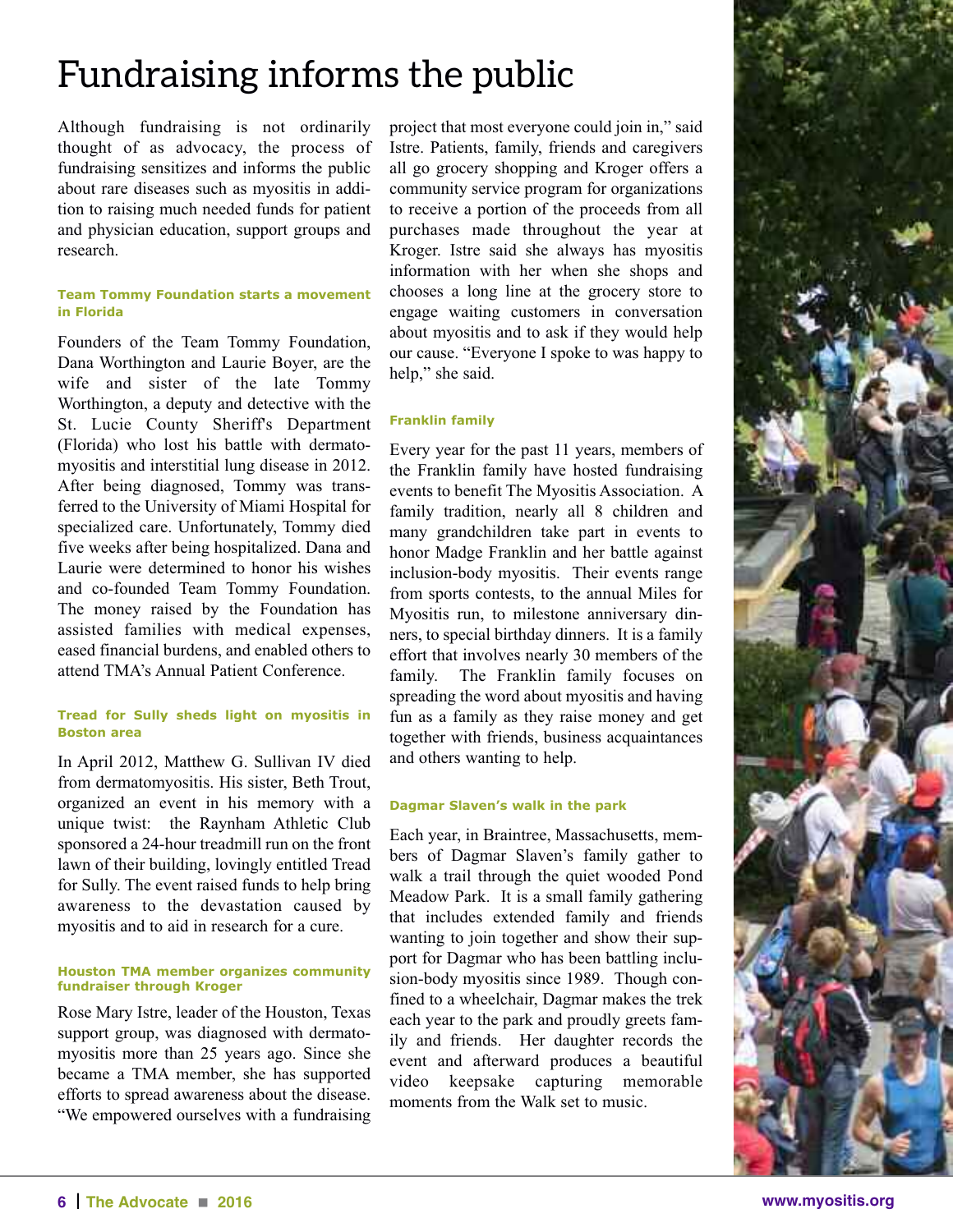### **Fundraising informs the public**

Although fundraising is not ordinarily thought of as advocacy, the process of fundraising sensitizes and informs the public about rare diseases such as myositis in addition to raising much needed funds for patient and physician education, support groups and research.

#### **Team Tommy foundation starts a movement in florida**

Founders of the Team Tommy Foundation, Dana Worthington and Laurie Boyer, are the wife and sister of the late Tommy Worthington, a deputy and detective with the St. Lucie County Sheriff's Department (Florida) who lost his battle with dermatomyositis and interstitial lung disease in 2012. After being diagnosed, Tommy was transferred to the University of Miami Hospital for specialized care. Unfortunately, Tommy died five weeks after being hospitalized. Dana and Laurie were determined to honor his wishes and co-founded Team Tommy Foundation. The money raised by the Foundation has assisted families with medical expenses, eased financial burdens, and enabled others to attend TMA's Annual Patient Conference.

#### **Tread for Sully sheds light on myositis in Boston area**

In April 2012, Matthew G. Sullivan IV died from dermatomyositis. His sister, Beth Trout, organized an event in his memory with a unique twist: the Raynham Athletic Club sponsored a 24-hour treadmill run on the front lawn of their building, lovingly entitled Tread for Sully. The event raised funds to help bring awareness to the devastation caused by myositis and to aid in research for a cure.

#### **houston TMA member organizes community fundraiser through Kroger**

Rose Mary Istre, leader of the Houston, Texas support group, was diagnosed with dermatomyositis more than 25 years ago. Since she became a TMA member, she has supported efforts to spread awareness about the disease. "We empowered ourselves with a fundraising project that most everyone could join in," said Istre. Patients, family, friends and caregivers all go grocery shopping and Kroger offers a community service program for organizations to receive a portion of the proceeds from all purchases made throughout the year at Kroger. Istre said she always has myositis information with her when she shops and chooses a long line at the grocery store to engage waiting customers in conversation about myositis and to ask if they would help our cause. "Everyone I spoke to was happy to help," she said.

#### **franklin family**

Every year for the past 11 years, members of the Franklin family have hosted fundraising events to benefit The Myositis Association. A family tradition, nearly all 8 children and many grandchildren take part in events to honor Madge Franklin and her battle against inclusion-body myositis. Their events range from sports contests, to the annual Miles for Myositis run, to milestone anniversary dinners, to special birthday dinners. It is a family effort that involves nearly 30 members of the family. The Franklin family focuses on spreading the word about myositis and having fun as a family as they raise money and get together with friends, business acquaintances and others wanting to help.

#### **dagmar Slaven's walk in the park**

Each year, in Braintree, Massachusetts, members of Dagmar Slaven's family gather to walk a trail through the quiet wooded Pond Meadow Park. It is a small family gathering that includes extended family and friends wanting to join together and show their support for Dagmar who has been battling inclusion-body myositis since 1989. Though confined to a wheelchair, Dagmar makes the trek each year to the park and proudly greets family and friends. Her daughter records the event and afterward produces a beautiful video keepsake capturing memorable moments from the Walk set to music.

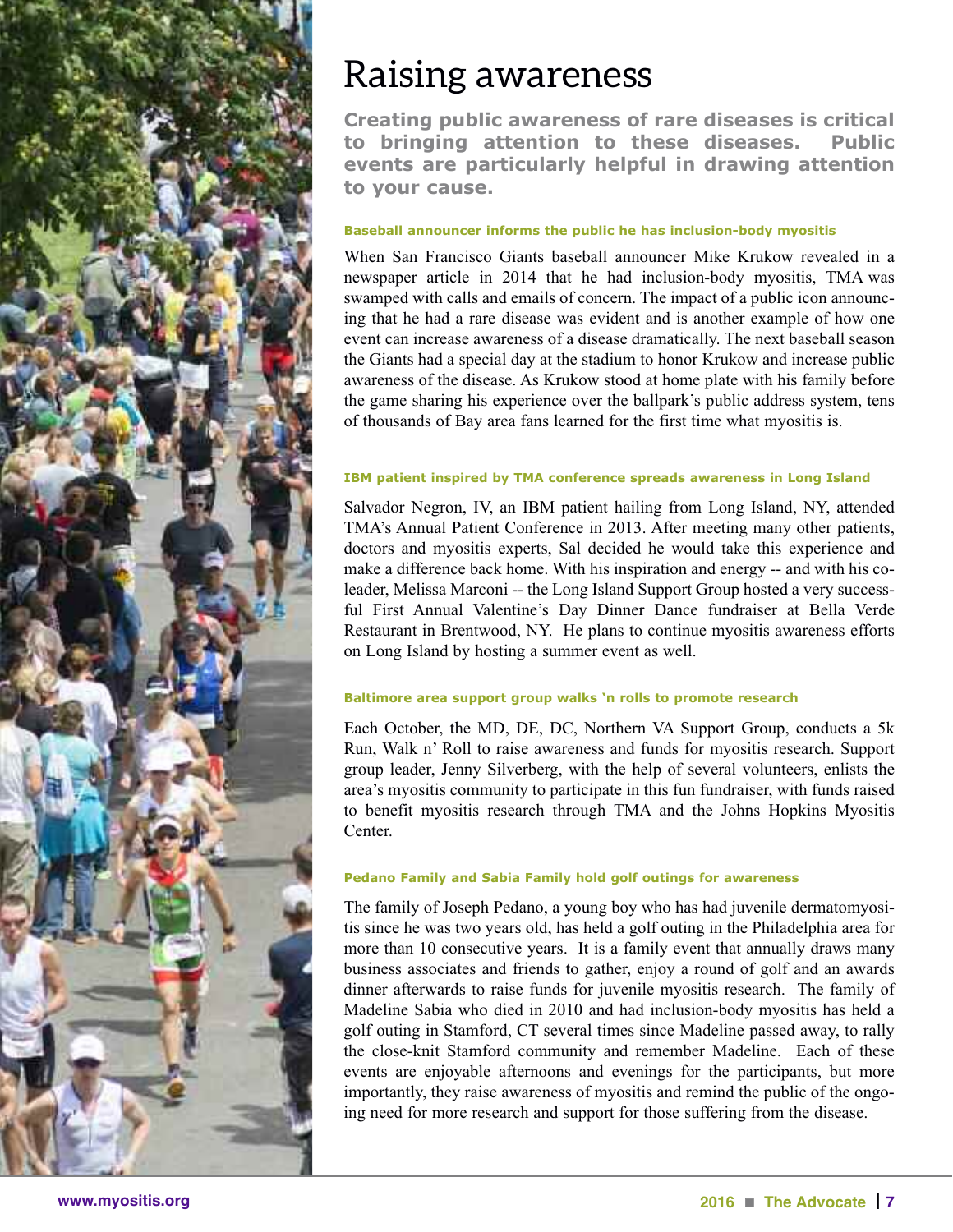

### **Raising awareness**

**creating public awareness of rare diseases is critical to bringing attention to these diseases. Public events are particularly helpful in drawing attention to your cause.**

#### **Baseball announcer informs the public he has inclusion-body myositis**

When San Francisco Giants baseball announcer Mike Krukow revealed in a newspaper article in 2014 that he had inclusion-body myositis, TMA was swamped with calls and emails of concern. The impact of a public icon announcing that he had a rare disease was evident and is another example of how one event can increase awareness of a disease dramatically. The next baseball season the Giants had a special day at the stadium to honor Krukow and increase public awareness of the disease. As Krukow stood at home plate with his family before the game sharing his experience over the ballpark's public address system, tens of thousands of Bay area fans learned for the first time what myositis is.

#### **iBM patient inspired by TMA conference spreads awareness in long island**

Salvador Negron, IV, an IBM patient hailing from Long Island, NY, attended TMA's Annual Patient Conference in 2013. After meeting many other patients, doctors and myositis experts, Sal decided he would take this experience and make a difference back home. With his inspiration and energy -- and with his coleader, Melissa Marconi -- the Long Island Support Group hosted a very successful First Annual Valentine's Day Dinner Dance fundraiser at Bella Verde Restaurant in Brentwood, NY. He plans to continue myositis awareness efforts on Long Island by hosting a summer event as well.

#### **Baltimore area support group walks 'n rolls to promote research**

Each October, the MD, DE, DC, Northern VA Support Group, conducts a 5k Run, Walk n' Roll to raise awareness and funds for myositis research. Support group leader, Jenny Silverberg, with the help of several volunteers, enlists the area's myositis community to participate in this fun fundraiser, with funds raised to benefit myositis research through TMA and the Johns Hopkins Myositis Center.

#### **Pedano family and Sabia family hold golf outings for awareness**

The family of Joseph Pedano, a young boy who has had juvenile dermatomyositis since he was two years old, has held a golf outing in the Philadelphia area for more than 10 consecutive years. It is a family event that annually draws many business associates and friends to gather, enjoy a round of golf and an awards dinner afterwards to raise funds for juvenile myositis research. The family of Madeline Sabia who died in 2010 and had inclusion-body myositis has held a golf outing in Stamford, CT several times since Madeline passed away, to rally the close-knit Stamford community and remember Madeline. Each of these events are enjoyable afternoons and evenings for the participants, but more importantly, they raise awareness of myositis and remind the public of the ongoing need for more research and support for those suffering from the disease.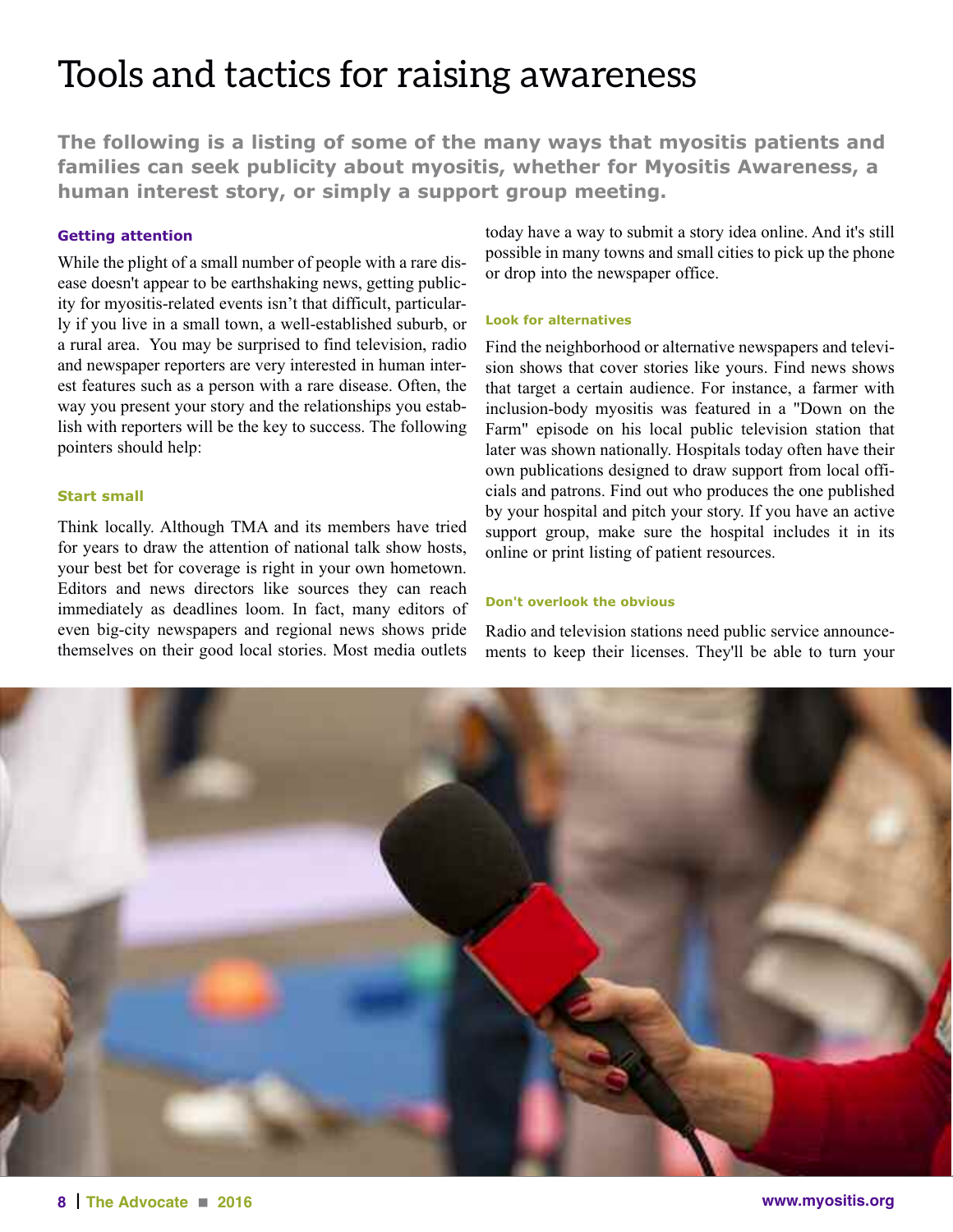### **Tools and tactics for raising awareness**

**The following is a listing of some of the many ways that myositis patients and families can seek publicity about myositis, whether for Myositis Awareness, a human interest story, or simply a support group meeting.**

#### **Getting attention**

While the plight of a small number of people with a rare disease doesn't appear to be earthshaking news, getting publicity for myositis-related events isn't that difficult, particularly if you live in a small town, a well-established suburb, or a rural area. You may be surprised to find television, radio and newspaper reporters are very interested in human interest features such as a person with a rare disease. Often, the way you present your story and the relationships you establish with reporters will be the key to success. The following pointers should help:

#### **Start small**

Think locally. Although TMA and its members have tried for years to draw the attention of national talk show hosts, your best bet for coverage is right in your own hometown. Editors and news directors like sources they can reach immediately as deadlines loom. In fact, many editors of even big-city newspapers and regional news shows pride themselves on their good local stories. Most media outlets

today have a way to submit a story idea online. And it's still possible in many towns and small cities to pick up the phone or drop into the newspaper office.

#### **look for alternatives**

Find the neighborhood or alternative newspapers and television shows that cover stories like yours. Find news shows that target a certain audience. For instance, a farmer with inclusion-body myositis was featured in a "Down on the Farm" episode on his local public television station that later was shown nationally. Hospitals today often have their own publications designed to draw support from local officials and patrons. Find out who produces the one published by your hospital and pitch your story. If you have an active support group, make sure the hospital includes it in its online or print listing of patient resources.

#### **don't overlook the obvious**

Radio and television stations need public service announcements to keep their licenses. They'll be able to turn your

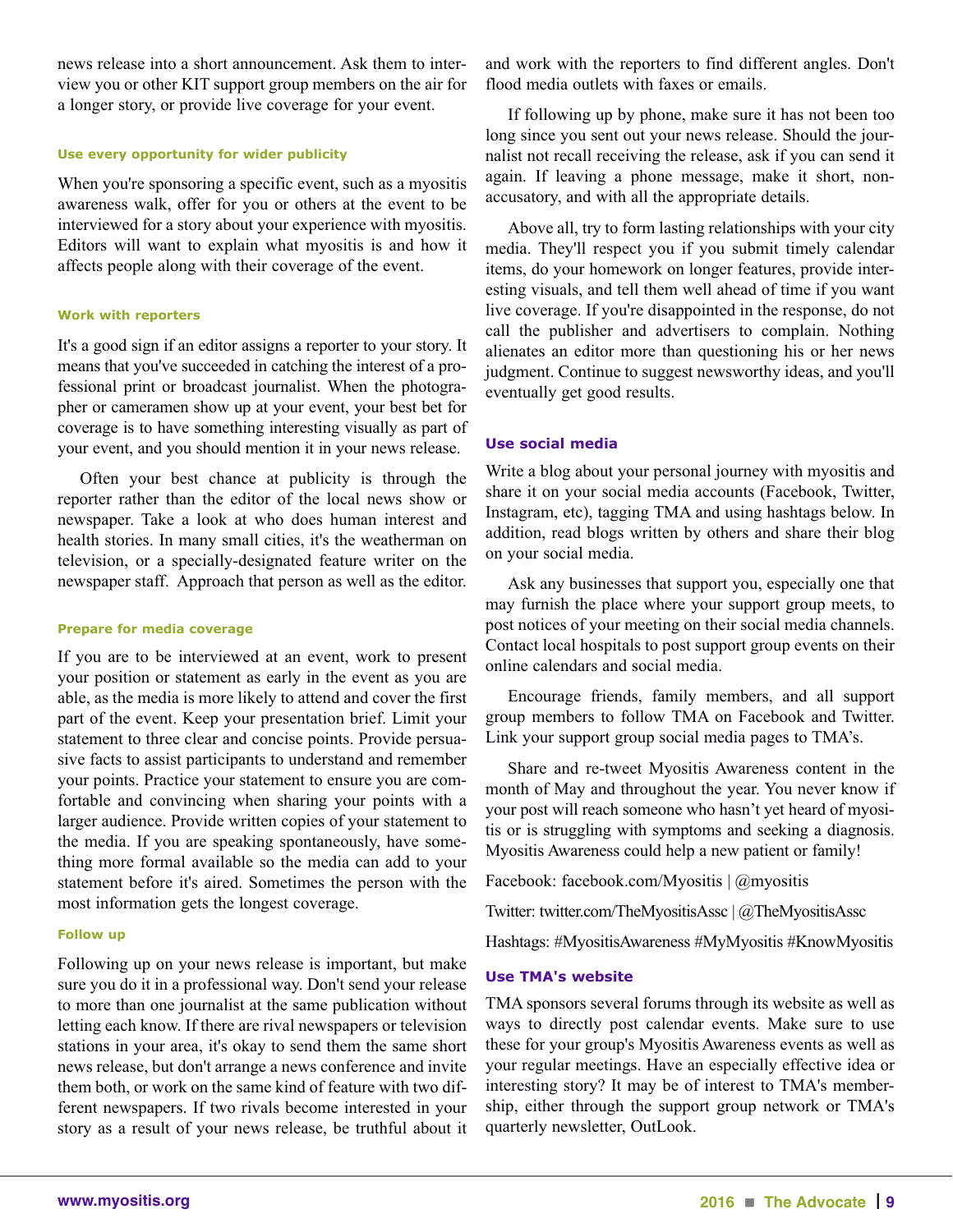news release into a short announcement. Ask them to interview you or other KIT support group members on the air for a longer story, or provide live coverage for your event.

#### **Use every opportunity for wider publicity**

When you're sponsoring a specific event, such as a myositis awareness walk, offer for you or others at the event to be interviewed for a story about your experience with myositis. Editors will want to explain what myositis is and how it affects people along with their coverage of the event.

#### **Work with reporters**

It's a good sign if an editor assigns a reporter to your story. It means that you've succeeded in catching the interest of a professional print or broadcast journalist. When the photographer or cameramen show up at your event, your best bet for coverage is to have something interesting visually as part of your event, and you should mention it in your news release.

 Often your best chance at publicity is through the reporter rather than the editor of the local news show or newspaper. Take a look at who does human interest and health stories. In many small cities, it's the weatherman on television, or a specially-designated feature writer on the newspaper staff. Approach that person as well as the editor.

#### **Prepare for media coverage**

If you are to be interviewed at an event, work to present your position or statement as early in the event as you are able, as the media is more likely to attend and cover the first part of the event. Keep your presentation brief. Limit your statement to three clear and concise points. Provide persuasive facts to assist participants to understand and remember your points. Practice your statement to ensure you are comfortable and convincing when sharing your points with a larger audience. Provide written copies of your statement to the media. If you are speaking spontaneously, have something more formal available so the media can add to your statement before it's aired. Sometimes the person with the most information gets the longest coverage.

#### **follow up**

Following up on your news release is important, but make sure you do it in a professional way. Don't send your release to more than one journalist at the same publication without letting each know. If there are rival newspapers or television stations in your area, it's okay to send them the same short news release, but don't arrange a news conference and invite them both, or work on the same kind of feature with two different newspapers. If two rivals become interested in your story as a result of your news release, be truthful about it and work with the reporters to find different angles. Don't flood media outlets with faxes or emails.

 If following up by phone, make sure it has not been too long since you sent out your news release. Should the journalist not recall receiving the release, ask if you can send it again. If leaving a phone message, make it short, nonaccusatory, and with all the appropriate details.

 Above all, try to form lasting relationships with your city media. They'll respect you if you submit timely calendar items, do your homework on longer features, provide interesting visuals, and tell them well ahead of time if you want live coverage. If you're disappointed in the response, do not call the publisher and advertisers to complain. Nothing alienates an editor more than questioning his or her news judgment. Continue to suggest newsworthy ideas, and you'll eventually get good results.

#### **Use social media**

Write a blog about your personal journey with myositis and share it on your social media accounts (Facebook, Twitter, Instagram, etc), tagging TMA and using hashtags below. In addition, read blogs written by others and share their blog on your social media.

 Ask any businesses that support you, especially one that may furnish the place where your support group meets, to post notices of your meeting on their social media channels. Contact local hospitals to post support group events on their online calendars and social media.

 Encourage friends, family members, and all support group members to follow TMA on Facebook and Twitter. Link your support group social media pages to TMA's.

 Share and re-tweet Myositis Awareness content in the month of May and throughout the year. You never know if your post will reach someone who hasn't yet heard of myositis or is struggling with symptoms and seeking a diagnosis. Myositis Awareness could help a new patient or family!

Facebook: facebook.com/Myositis | @myositis

Twitter: twitter.com/TheMyositisAssc | @TheMyositisAssc

Hashtags: #MyositisAwareness #MyMyositis #KnowMyositis

#### **Use TMA's website**

TMA sponsors several forums through its website as well as ways to directly post calendar events. Make sure to use these for your group's Myositis Awareness events as well as your regular meetings. Have an especially effective idea or interesting story? It may be of interest to TMA's membership, either through the support group network or TMA's quarterly newsletter, OutLook.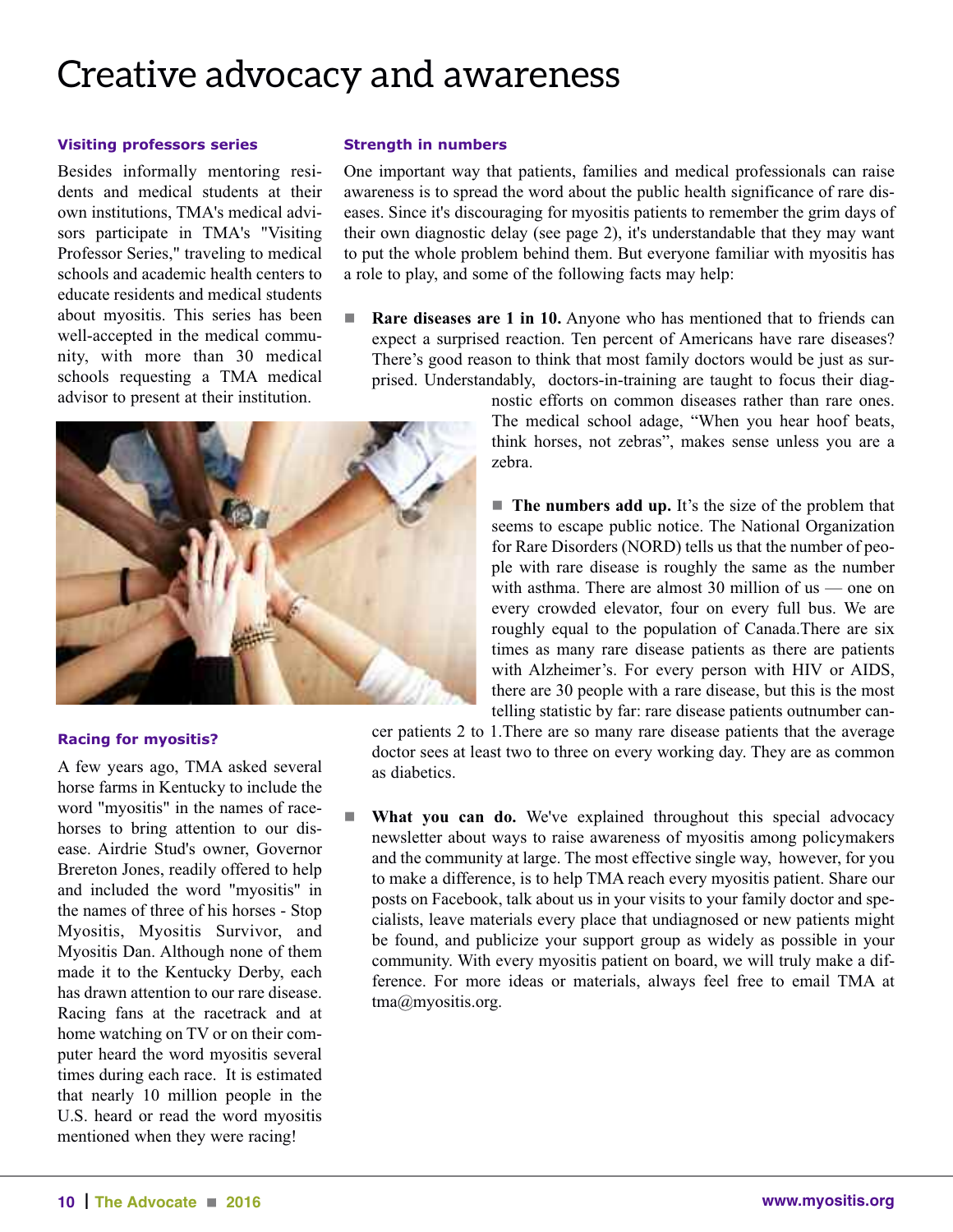### **Creative advocacy and awareness**

#### **visiting professors series**

Besides informally mentoring residents and medical students at their own institutions, TMA's medical advisors participate in TMA's "Visiting Professor Series," traveling to medical schools and academic health centers to educate residents and medical students about myositis. This series has been well-accepted in the medical community, with more than 30 medical schools requesting a TMA medical advisor to present at their institution.

#### **Strength in numbers**

One important way that patients, families and medical professionals can raise awareness is to spread the word about the public health significance of rare diseases. Since it's discouraging for myositis patients to remember the grim days of their own diagnostic delay (see page 2), it's understandable that they may want to put the whole problem behind them. But everyone familiar with myositis has a role to play, and some of the following facts may help:

n **Rare diseases are 1 in 10.** Anyone who has mentioned that to friends can expect a surprised reaction. Ten percent of Americans have rare diseases? There's good reason to think that most family doctors would be just as surprised. Understandably, doctors-in-training are taught to focus their diag-



#### **racing for myositis?**

A few years ago, TMA asked several horse farms in Kentucky to include the word "myositis" in the names of racehorses to bring attention to our disease. Airdrie Stud's owner, Governor Brereton Jones, readily offered to help and included the word "myositis" in the names of three of his horses - Stop Myositis, Myositis Survivor, and Myositis Dan. Although none of them made it to the Kentucky Derby, each has drawn attention to our rare disease. Racing fans at the racetrack and at home watching on TV or on their computer heard the word myositis several times during each race. It is estimated that nearly 10 million people in the U.S. heard or read the word myositis mentioned when they were racing!

nostic efforts on common diseases rather than rare ones. The medical school adage, "When you hear hoof beats, think horses, not zebras", makes sense unless you are a zebra.

■ **The numbers add up.** It's the size of the problem that seems to escape public notice. The National Organization for Rare Disorders (NORD) tells us that the number of people with rare disease is roughly the same as the number with asthma. There are almost 30 million of us — one on every crowded elevator, four on every full bus. We are roughly equal to the population of Canada.There are six times as many rare disease patients as there are patients with Alzheimer's. For every person with HIV or AIDS, there are 30 people with a rare disease, but this is the most telling statistic by far: rare disease patients outnumber can-

cer patients 2 to 1.There are so many rare disease patients that the average doctor sees at least two to three on every working day. They are as common as diabetics.

**What you can do.** We've explained throughout this special advocacy newsletter about ways to raise awareness of myositis among policymakers and the community at large. The most effective single way, however, for you to make a difference, is to help TMA reach every myositis patient. Share our posts on Facebook, talk about us in your visits to your family doctor and specialists, leave materials every place that undiagnosed or new patients might be found, and publicize your support group as widely as possible in your community. With every myositis patient on board, we will truly make a difference. For more ideas or materials, always feel free to email TMA at tma@myositis.org.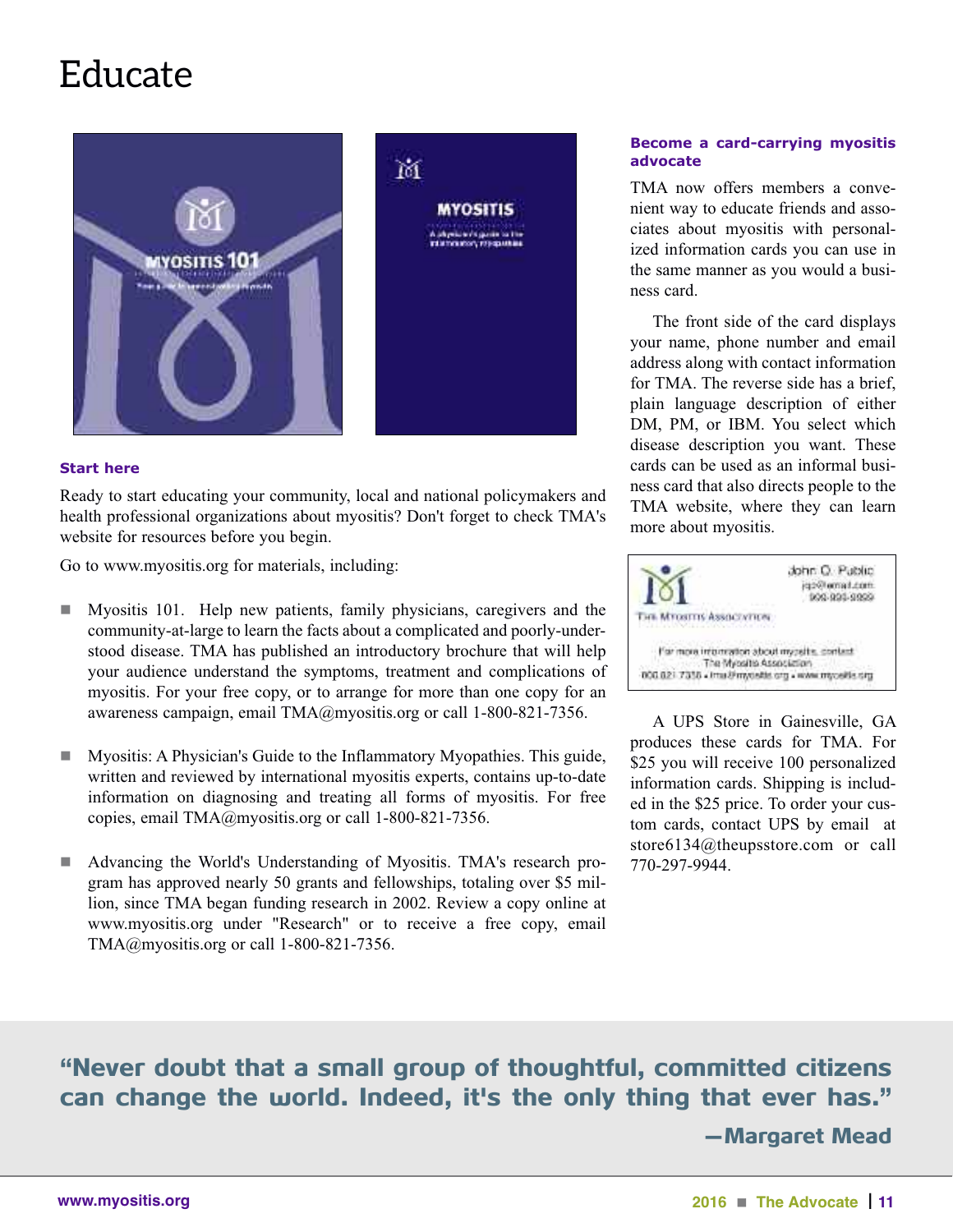### **Educate**



#### **Start here**

Ready to start educating your community, local and national policymakers and health professional organizations about myositis? Don't forget to check TMA's website for resources before you begin.

Go to www.myositis.org for materials, including:

- n Myositis 101. Help new patients, family physicians, caregivers and the community-at-large to learn the facts about a complicated and poorly-understood disease. TMA has published an introductory brochure that will help your audience understand the symptoms, treatment and complications of myositis. For your free copy, or to arrange for more than one copy for an awareness campaign, email TMA@myositis.org or call 1-800-821-7356.
- n Myositis: A Physician's Guide to the Inflammatory Myopathies. This guide, written and reviewed by international myositis experts, contains up-to-date information on diagnosing and treating all forms of myositis. For free copies, email TMA@myositis.org or call 1-800-821-7356.
- n Advancing the World's Understanding of Myositis. TMA's research program has approved nearly 50 grants and fellowships, totaling over \$5 million, since TMA began funding research in 2002. Review a copy online at www.myositis.org under "Research" or to receive a free copy, email TMA@myositis.org or call 1-800-821-7356.

#### **Become a card-carrying myositis advocate**

TMA now offers members a convenient way to educate friends and associates about myositis with personalized information cards you can use in the same manner as you would a business card.

 The front side of the card displays your name, phone number and email address along with contact information for TMA. The reverse side has a brief, plain language description of either DM, PM, or IBM. You select which disease description you want. These cards can be used as an informal business card that also directs people to the TMA website, where they can learn more about myositis.



 A UPS Store in Gainesville, GA produces these cards for TMA. For \$25 you will receive 100 personalized information cards. Shipping is included in the \$25 price. To order your custom cards, contact UPS by email at store6134@theupsstore.com or call 770-297-9944.

"Never doubt that a small group of thoughtful, committed citizens can change the world. Indeed, it's the only thing that ever has." —Margaret Mead